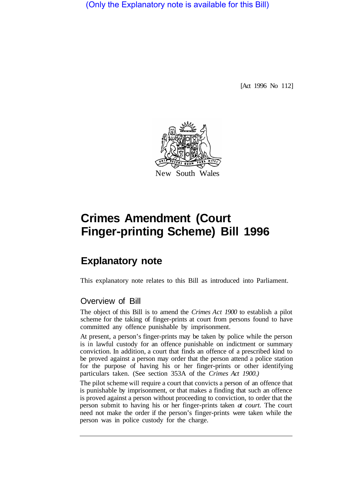(Only the Explanatory note is available for this Bill)

[Act 1996 No 112]



# **Crimes Amendment (Court Finger-printing Scheme) Bill 1996**

## **Explanatory note**

This explanatory note relates to this Bill as introduced into Parliament.

#### Overview of Bill

The object of this Bill is to amend the *Crimes Act 1900* to establish a pilot scheme for the taking of finger-prints at court from persons found to have committed any offence punishable by imprisonment.

At present, a person's finger-prints may be taken by police while the person is in lawful custody for an offence punishable on indictment or summary conviction. In addition, a court that finds an offence of a prescribed kind to be proved against a person may order that the person attend a police station for the purpose of having his or her finger-prints or other identifying particulars taken. (See section 353A of the *Crimes Act 1900.)* 

The pilot scheme will require a court that convicts a person of an offence that is punishable by imprisonment, or that makes a finding that such an offence is proved against a person without proceeding to conviction, to order that the person submit to having his or her finger-prints taken *at court.* The court need not make the order if the person's finger-prints were taken while the person was in police custody for the charge.